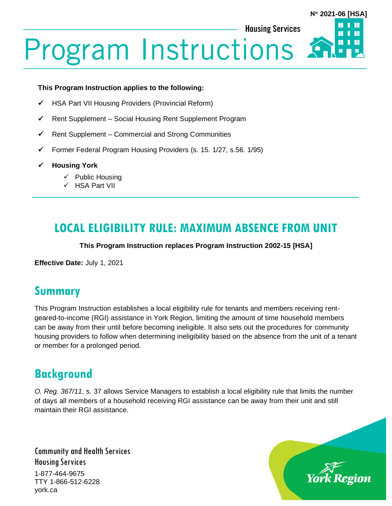**N 2021-06 [HSA]**

Ш

П

**Housing Services** 

# **Program Instructions**

#### **This Program Instruction applies to the following:**

- ✓ HSA Part VII Housing Providers (Provincial Reform)
- ✓ Rent Supplement Social Housing Rent Supplement Program
- $\checkmark$  Rent Supplement Commercial and Strong Communities
- $\checkmark$  Former Federal Program Housing Providers (s. 15. 1/27, s.56. 1/95)
- ✓ **Housing York**
	- ✓ Public Housing
	- ✓ HSA Part VII

# **LOCAL ELIGIBILITY RULE: MAXIMUM ABSENCE FROM UNIT**

#### **This Program Instruction replaces Program Instruction 2002-15 [HSA]**

**Effective Date:** July 1, 2021

### **Summary**

This Program Instruction establishes a local eligibility rule for tenants and members receiving rentgeared-to-income (RGI) assistance in York Region, limiting the amount of time household members can be away from their until before becoming ineligible. It also sets out the procedures for community housing providers to follow when determining ineligibility based on the absence from the unit of a tenant or member for a prolonged period.

## **Background**

*O. Reg. 367/11*, s. 37 allows Service Managers to establish a local eligibility rule that limits the number of days all members of a household receiving RGI assistance can be away from their unit and still maintain their RGI assistance.

Community and Health Services Housing Services 1-877-464-9675

TTY 1-866-512-6228 york.ca

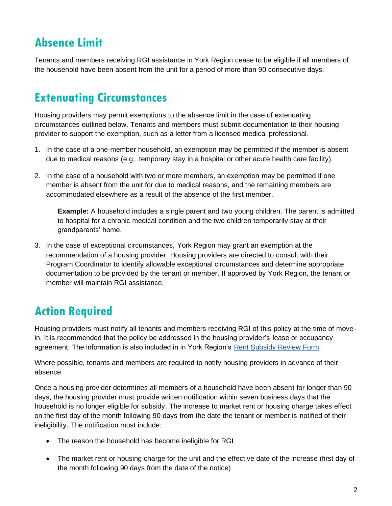# **Absence Limit**

Tenants and members receiving RGI assistance in York Region cease to be eligible if all members of the household have been absent from the unit for a period of more than 90 consecutive days.

## **Extenuating Circumstances**

Housing providers may permit exemptions to the absence limit in the case of extenuating circumstances outlined below. Tenants and members must submit documentation to their housing provider to support the exemption, such as a letter from a licensed medical professional.

- 1. In the case of a one-member household, an exemption may be permitted if the member is absent due to medical reasons (e.g., temporary stay in a hospital or other acute health care facility).
- 2. In the case of a household with two or more members, an exemption may be permitted if one member is absent from the unit for due to medical reasons, and the remaining members are accommodated elsewhere as a result of the absence of the first member.

**Example:** A household includes a single parent and two young children. The parent is admitted to hospital for a chronic medical condition and the two children temporarily stay at their grandparents' home.

3. In the case of exceptional circumstances, York Region may grant an exemption at the recommendation of a housing provider. Housing providers are directed to consult with their Program Coordinator to identify allowable exceptional circumstances and determine appropriate documentation to be provided by the tenant or member. If approved by York Region, the tenant or member will maintain RGI assistance.

# **Action Required**

Housing providers must notify all tenants and members receiving RGI of this policy at the time of movein. It is recommended that the policy be addressed in the housing provider's lease or occupancy agreement. The information is also included in in York Region's [Rent Subsidy Review Form.](https://www.york.ca/wps/wcm/connect/yorkpublic/19315517-f324-4b02-8911-4bb8520b4624/New-Rent-Subsidy-Review-Form-for-reviews-completed-beginning-July-1-2021.pdf?MOD=AJPERES&CVID=nyJJWM2)

Where possible, tenants and members are required to notify housing providers in advance of their absence.

Once a housing provider determines all members of a household have been absent for longer than 90 days, the housing provider must provide written notification within seven business days that the household is no longer eligible for subsidy. The increase to market rent or housing charge takes effect on the first day of the month following 90 days from the date the tenant or member is notified of their ineligibility. The notification must include:

- The reason the household has become ineligible for RGI
- The market rent or housing charge for the unit and the effective date of the increase (first day of the month following 90 days from the date of the notice)